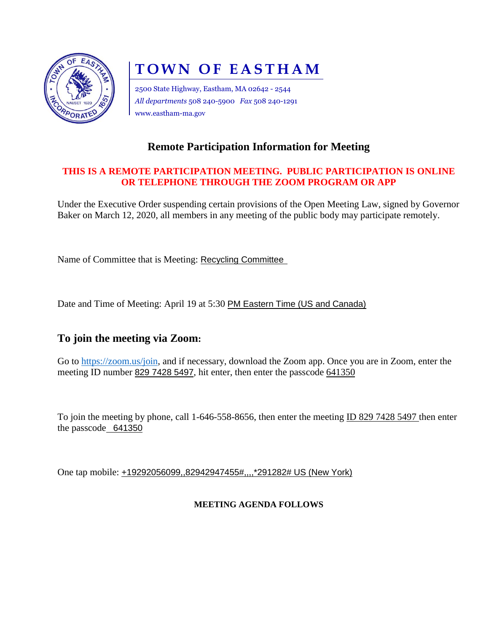

# **TOWN OF EASTHAM**

2500 State Highway, Eastham, MA 02642 - 2544 *All departments* 508 240-5900 *Fax* 508 240-1291 www.eastham-ma.gov

### **Remote Participation Information for Meeting**

#### **THIS IS A REMOTE PARTICIPATION MEETING. PUBLIC PARTICIPATION IS ONLINE OR TELEPHONE THROUGH THE ZOOM PROGRAM OR APP**

Under the Executive Order suspending certain provisions of the Open Meeting Law, signed by Governor Baker on March 12, 2020, all members in any meeting of the public body may participate remotely.

Name of Committee that is Meeting: Recycling Committee

Date and Time of Meeting: April 19 at 5:30 PM Eastern Time (US and Canada)

#### **To join the meeting via Zoom:**

Go to [https://zoom.us/join,](https://zoom.us/join) and if necessary, download the Zoom app. Once you are in Zoom, enter the meeting ID number 829 7428 5497, hit enter, then enter the passcode 641350

To join the meeting by phone, call 1-646-558-8656, then enter the meeting ID 829 7428 5497 then enter the passcode 641350

One tap mobile: +19292056099,,82942947455#,,,,\*291282# US (New York)

#### **MEETING AGENDA FOLLOWS**